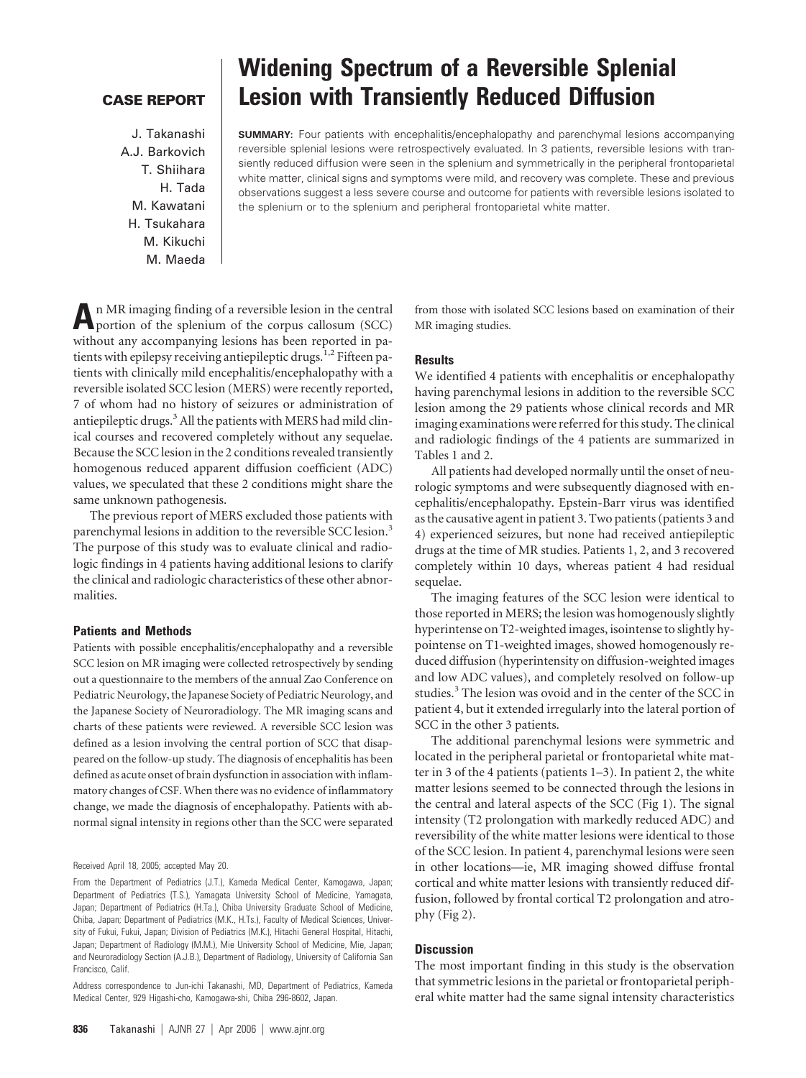# **CASE REPORT**

J. Takanashi A.J. Barkovich T. Shiihara H. Tada M. Kawatani H. Tsukahara M. Kikuchi M. Maeda

# **Widening Spectrum of a Reversible Splenial Lesion with Transiently Reduced Diffusion**

**SUMMARY:** Four patients with encephalitis/encephalopathy and parenchymal lesions accompanying reversible splenial lesions were retrospectively evaluated. In 3 patients, reversible lesions with transiently reduced diffusion were seen in the splenium and symmetrically in the peripheral frontoparietal white matter, clinical signs and symptoms were mild, and recovery was complete. These and previous observations suggest a less severe course and outcome for patients with reversible lesions isolated to the splenium or to the splenium and peripheral frontoparietal white matter.

**A**n MR imaging finding of a reversible lesion in the central portion of the splenium of the corpus callosum (SCC) without any accompanying lesions has been reported in patients with epilepsy receiving antiepileptic drugs.<sup>1,2</sup> Fifteen patients with clinically mild encephalitis/encephalopathy with a reversible isolated SCC lesion (MERS) were recently reported, 7 of whom had no history of seizures or administration of antiepileptic drugs.<sup>3</sup> All the patients with MERS had mild clinical courses and recovered completely without any sequelae. Because the SCC lesion in the 2 conditions revealed transiently homogenous reduced apparent diffusion coefficient (ADC) values, we speculated that these 2 conditions might share the same unknown pathogenesis.

The previous report of MERS excluded those patients with parenchymal lesions in addition to the reversible SCC lesion.<sup>3</sup> The purpose of this study was to evaluate clinical and radiologic findings in 4 patients having additional lesions to clarify the clinical and radiologic characteristics of these other abnormalities.

## **Patients and Methods**

Patients with possible encephalitis/encephalopathy and a reversible SCC lesion on MR imaging were collected retrospectively by sending out a questionnaire to the members of the annual Zao Conference on Pediatric Neurology, the Japanese Society of Pediatric Neurology, and the Japanese Society of Neuroradiology. The MR imaging scans and charts of these patients were reviewed. A reversible SCC lesion was defined as a lesion involving the central portion of SCC that disappeared on the follow-up study. The diagnosis of encephalitis has been defined as acute onset of brain dysfunction in association with inflammatory changes of CSF. When there was no evidence of inflammatory change, we made the diagnosis of encephalopathy. Patients with abnormal signal intensity in regions other than the SCC were separated

Received April 18, 2005; accepted May 20.

From the Department of Pediatrics (J.T.), Kameda Medical Center, Kamogawa, Japan; Department of Pediatrics (T.S.), Yamagata University School of Medicine, Yamagata, Japan; Department of Pediatrics (H.Ta.), Chiba University Graduate School of Medicine, Chiba, Japan; Department of Pediatrics (M.K., H.Ts.), Faculty of Medical Sciences, University of Fukui, Fukui, Japan; Division of Pediatrics (M.K.), Hitachi General Hospital, Hitachi, Japan; Department of Radiology (M.M.), Mie University School of Medicine, Mie, Japan; and Neuroradiology Section (A.J.B.), Department of Radiology, University of California San Francisco, Calif.

Address correspondence to Jun-ichi Takanashi, MD, Department of Pediatrics, Kameda Medical Center, 929 Higashi-cho, Kamogawa-shi, Chiba 296-8602, Japan.

from those with isolated SCC lesions based on examination of their MR imaging studies.

## **Results**

We identified 4 patients with encephalitis or encephalopathy having parenchymal lesions in addition to the reversible SCC lesion among the 29 patients whose clinical records and MR imaging examinations were referred for this study. The clinical and radiologic findings of the 4 patients are summarized in Tables 1 and 2.

All patients had developed normally until the onset of neurologic symptoms and were subsequently diagnosed with encephalitis/encephalopathy. Epstein-Barr virus was identified as the causative agent in patient 3. Two patients (patients 3 and 4) experienced seizures, but none had received antiepileptic drugs at the time of MR studies. Patients 1, 2, and 3 recovered completely within 10 days, whereas patient 4 had residual sequelae.

The imaging features of the SCC lesion were identical to those reported in MERS; the lesion was homogenously slightly hyperintense on T2-weighted images, isointense to slightly hypointense on T1-weighted images, showed homogenously reduced diffusion (hyperintensity on diffusion-weighted images and low ADC values), and completely resolved on follow-up studies.<sup>3</sup> The lesion was ovoid and in the center of the SCC in patient 4, but it extended irregularly into the lateral portion of SCC in the other 3 patients.

The additional parenchymal lesions were symmetric and located in the peripheral parietal or frontoparietal white matter in 3 of the 4 patients (patients 1–3). In patient 2, the white matter lesions seemed to be connected through the lesions in the central and lateral aspects of the SCC (Fig 1). The signal intensity (T2 prolongation with markedly reduced ADC) and reversibility of the white matter lesions were identical to those of the SCC lesion. In patient 4, parenchymal lesions were seen in other locations—ie, MR imaging showed diffuse frontal cortical and white matter lesions with transiently reduced diffusion, followed by frontal cortical T2 prolongation and atrophy (Fig 2).

## **Discussion**

The most important finding in this study is the observation that symmetric lesions in the parietal or frontoparietal peripheral white matter had the same signal intensity characteristics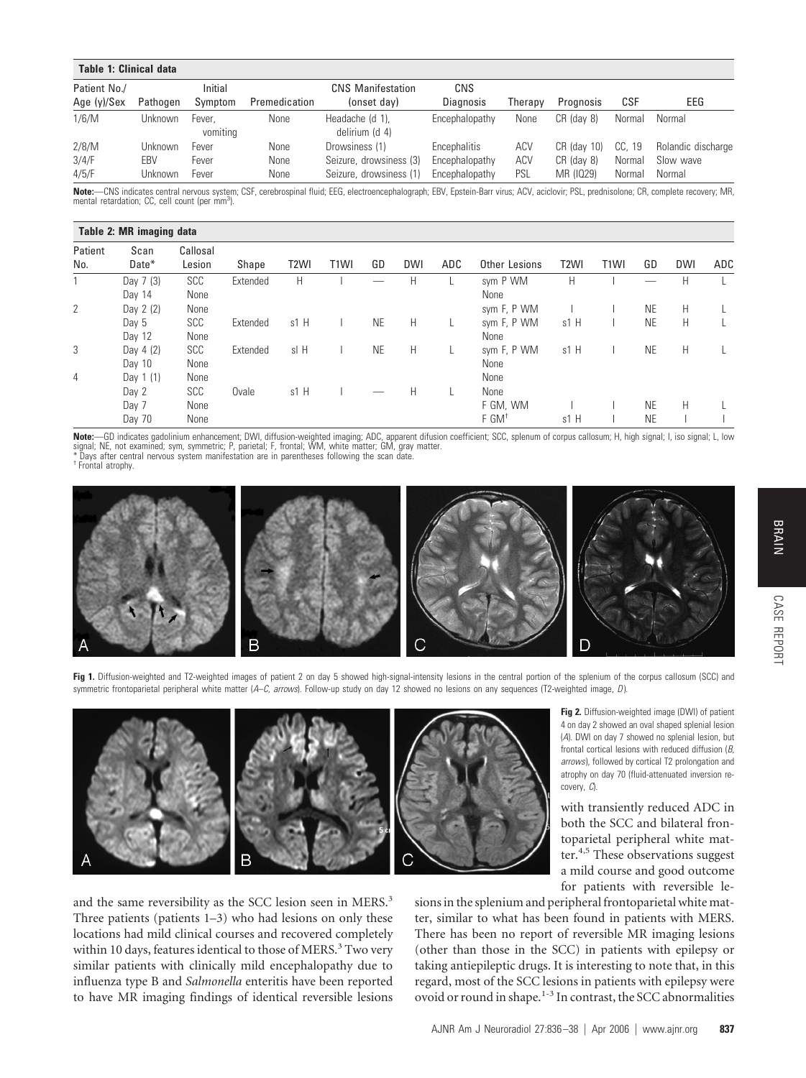| <b>Table 1: Clinical data</b> |            |                    |               |                                   |                  |         |             |        |                    |
|-------------------------------|------------|--------------------|---------------|-----------------------------------|------------------|---------|-------------|--------|--------------------|
| Patient No./                  |            | Initial            |               | <b>CNS Manifestation</b>          | CNS              |         |             |        |                    |
| Age (y)/Sex                   | Pathogen   | Symptom            | Premedication | (onset day)                       | <b>Diagnosis</b> | Therapv | Prognosis   | CSF    | EEG                |
| 1/6/M                         | Unknown    | Fever.<br>vomiting | None          | Headache (d 1),<br>delirium (d 4) | Encephalopathy   | None    | CR (day 8)  | Normal | Normal             |
| 2/8/M                         | Unknown    | Fever              | None          | Drowsiness (1)                    | Encephalitis     | ACV     | CR (day 10) | CC. 19 | Rolandic discharge |
| 3/4/F                         | <b>FBV</b> | Fever              | None          | Seizure, drowsiness (3)           | Encephalopathy   | ACV     | CR (day 8)  | Normal | Slow wave          |
| 4/5/F                         | Unknown    | Fever              | None          | Seizure, drowsiness (1)           | Encephalopathy   | PSL     | MR (1029)   | Normal | Normal             |

**Note:**—CNS indicates central nervous system; CSF, cerebrospinal fluid; EEG, electroencephalograph; EBV, Epstein-Barr virus; ACV, aciclovir; PSL, prednisolone; CR, complete recovery; MR,<br>mental retardation; CC, cell count

#### **Table 2: MR imaging data** Patient No. Scan Date\* Callosal Lesion Shape T2WI T1WI GD DWI ADC Other Lesions T2WI T1WI GD DWI ADC 1 Day 7 (3) SCC Extended H I — H L sym P WM H I — H L Day 14 None None None None None 2 Day 2 (2) None sym F, P WM I I NE H L Day 5 SCC Extended s1 H I NE H L sym F, P WM s1 H I NE H L Day 12 None None None None None 3 Day 4(2) SCC Extended sl H I NE H L sym F, P WM s1 H I NE H L Day 10 None None None None None 4 Day 1 (1) None None None None None None None Day 2 SCC Ovale s1 H I — H L None Day 7 None F GM, WM I I NE H L Day 70 None F GM† s1 H I NE I I

**Note:**—GD indicates gadolinium enhancement; DWI, diffusion-weighted imaging; ADC, apparent difusion coefficient; SCC, splenum of corpus callosum; H, high signal; I, iso signal; L, low<br>signal; NE, not examined; sym, symmet

\* Days after central nervous system manifestation are in parentheses following the scan date.

† Frontal atrophy.



Fig 1. Diffusion-weighted and T2-weighted images of patient 2 on day 5 showed high-signal-intensity lesions in the central portion of the splenium of the corpus callosum (SCC) and symmetric frontoparietal peripheral white matter (*A*–*C, arrows*). Follow-up study on day 12 showed no lesions on any sequences (T2-weighted image, *D*).



and the same reversibility as the SCC lesion seen in MERS.<sup>3</sup> Three patients (patients 1–3) who had lesions on only these locations had mild clinical courses and recovered completely within 10 days, features identical to those of MERS.<sup>3</sup> Two very similar patients with clinically mild encephalopathy due to influenza type B and *Salmonella* enteritis have been reported to have MR imaging findings of identical reversible lesions

for patients with reversible lesions in the splenium and peripheral frontoparietal white matter, similar to what has been found in patients with MERS. There has been no report of reversible MR imaging lesions (other than those in the SCC) in patients with epilepsy or taking antiepileptic drugs. It is interesting to note that, in this regard, most of the SCC lesions in patients with epilepsy were ovoid or round in shape.1-3 In contrast, the SCC abnormalities CASE REPORT